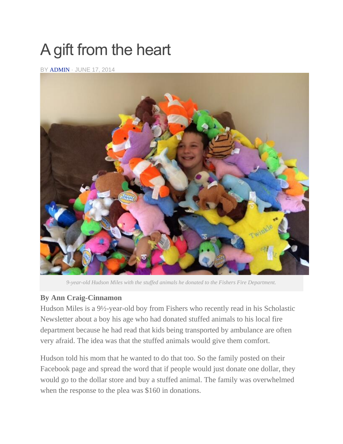## A gift from the heart

BY [ADMIN](http://currentinfishers.com/author/admin/) · JUNE 17, 2014



*9-year-old Hudson Miles with the stuffed animals he donated to the Fishers Fire Department.*

## **By Ann Craig-Cinnamon**

Hudson Miles is a 9½-year-old boy from Fishers who recently read in his Scholastic Newsletter about a boy his age who had donated stuffed animals to his local fire department because he had read that kids being transported by ambulance are often very afraid. The idea was that the stuffed animals would give them comfort.

Hudson told his mom that he wanted to do that too. So the family posted on their Facebook page and spread the word that if people would just donate one dollar, they would go to the dollar store and buy a stuffed animal. The family was overwhelmed when the response to the plea was \$160 in donations.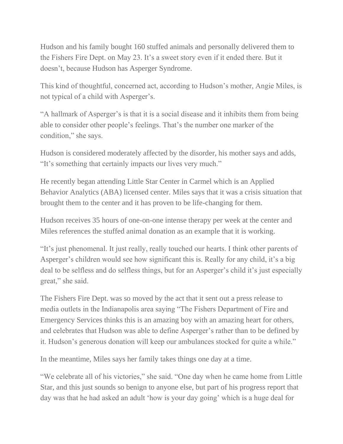Hudson and his family bought 160 stuffed animals and personally delivered them to the Fishers Fire Dept. on May 23. It's a sweet story even if it ended there. But it doesn't, because Hudson has Asperger Syndrome.

This kind of thoughtful, concerned act, according to Hudson's mother, Angie Miles, is not typical of a child with Asperger's.

"A hallmark of Asperger's is that it is a social disease and it inhibits them from being able to consider other people's feelings. That's the number one marker of the condition," she says.

Hudson is considered moderately affected by the disorder, his mother says and adds, "It's something that certainly impacts our lives very much."

He recently began attending Little Star Center in Carmel which is an Applied Behavior Analytics (ABA) licensed center. Miles says that it was a crisis situation that brought them to the center and it has proven to be life-changing for them.

Hudson receives 35 hours of one-on-one intense therapy per week at the center and Miles references the stuffed animal donation as an example that it is working.

"It's just phenomenal. It just really, really touched our hearts. I think other parents of Asperger's children would see how significant this is. Really for any child, it's a big deal to be selfless and do selfless things, but for an Asperger's child it's just especially great," she said.

The Fishers Fire Dept. was so moved by the act that it sent out a press release to media outlets in the Indianapolis area saying "The Fishers Department of Fire and Emergency Services thinks this is an amazing boy with an amazing heart for others, and celebrates that Hudson was able to define Asperger's rather than to be defined by it. Hudson's generous donation will keep our ambulances stocked for quite a while."

In the meantime, Miles says her family takes things one day at a time.

"We celebrate all of his victories," she said. "One day when he came home from Little Star, and this just sounds so benign to anyone else, but part of his progress report that day was that he had asked an adult 'how is your day going' which is a huge deal for